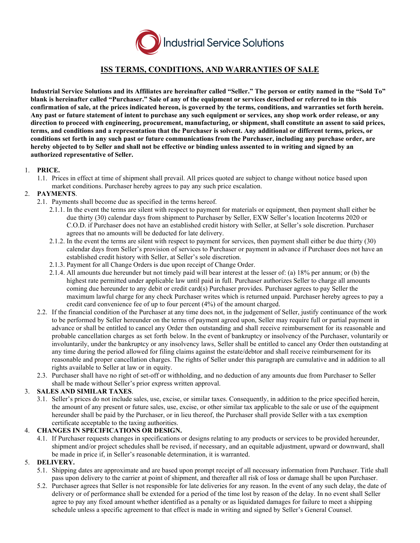

# **ISS TERMS, CONDITIONS, AND WARRANTIES OF SALE**

**Industrial Service Solutions and its Affiliates are hereinafter called "Seller." The person or entity named in the "Sold To" blank is hereinafter called "Purchaser." Sale of any of the equipment or services described or referred to in this confirmation of sale, at the prices indicated hereon, is governed by the terms, conditions, and warranties set forth herein. Any past or future statement of intent to purchase any such equipment or services, any shop work order release, or any direction to proceed with engineering, procurement, manufacturing, or shipment, shall constitute an assent to said prices, terms, and conditions and a representation that the Purchaser is solvent. Any additional or different terms, prices, or conditions set forth in any such past or future communications from the Purchaser, including any purchase order, are hereby objected to by Seller and shall not be effective or binding unless assented to in writing and signed by an authorized representative of Seller.**

# 1. **PRICE.**

1.1. Prices in effect at time of shipment shall prevail. All prices quoted are subject to change without notice based upon market conditions. Purchaser hereby agrees to pay any such price escalation.

# 2. **PAYMENTS**.

- 2.1. Payments shall become due as specified in the terms hereof.
	- 2.1.1. In the event the terms are silent with respect to payment for materials or equipment, then payment shall either be due thirty (30) calendar days from shipment to Purchaser by Seller, EXW Seller's location Incoterms 2020 or C.O.D. if Purchaser does not have an established credit history with Seller, at Seller's sole discretion. Purchaser agrees that no amounts will be deducted for late delivery.
	- 2.1.2. In the event the terms are silent with respect to payment for services, then payment shall either be due thirty (30) calendar days from Seller's provision of services to Purchaser or payment in advance if Purchaser does not have an established credit history with Seller, at Seller's sole discretion.
	- 2.1.3. Payment for all Change Orders is due upon receipt of Change Order.
	- 2.1.4. All amounts due hereunder but not timely paid will bear interest at the lesser of: (a) 18% per annum; or (b) the highest rate permitted under applicable law until paid in full. Purchaser authorizes Seller to charge all amounts coming due hereunder to any debit or credit card(s) Purchaser provides. Purchaser agrees to pay Seller the maximum lawful charge for any check Purchaser writes which is returned unpaid. Purchaser hereby agrees to pay a credit card convenience fee of up to four percent (4%) of the amount charged.
- 2.2. If the financial condition of the Purchaser at any time does not, in the judgement of Seller, justify continuance of the work to be performed by Seller hereunder on the terms of payment agreed upon, Seller may require full or partial payment in advance or shall be entitled to cancel any Order then outstanding and shall receive reimbursement for its reasonable and probable cancellation charges as set forth below. In the event of bankruptcy or insolvency of the Purchaser, voluntarily or involuntarily, under the bankruptcy or any insolvency laws, Seller shall be entitled to cancel any Order then outstanding at any time during the period allowed for filing claims against the estate/debtor and shall receive reimbursement for its reasonable and proper cancellation charges. The rights of Seller under this paragraph are cumulative and in addition to all rights available to Seller at law or in equity.
- 2.3. Purchaser shall have no right of set-off or withholding, and no deduction of any amounts due from Purchaser to Seller shall be made without Seller's prior express written approval.

#### 3. **SALES AND SIMILAR TAXES**.

3.1. Seller's prices do not include sales, use, excise, or similar taxes. Consequently, in addition to the price specified herein, the amount of any present or future sales, use, excise, or other similar tax applicable to the sale or use of the equipment hereunder shall be paid by the Purchaser, or in lieu thereof, the Purchaser shall provide Seller with a tax exemption certificate acceptable to the taxing authorities.

#### 4. **CHANGES IN SPECIFICATIONS OR DESIGN.**

4.1. If Purchaser requests changes in specifications or designs relating to any products or services to be provided hereunder, shipment and/or project schedules shall be revised, if necessary, and an equitable adjustment, upward or downward, shall be made in price if, in Seller's reasonable determination, it is warranted.

#### 5. **DELIVERY.**

- 5.1. Shipping dates are approximate and are based upon prompt receipt of all necessary information from Purchaser. Title shall pass upon delivery to the carrier at point of shipment, and thereafter all risk of loss or damage shall be upon Purchaser.
- 5.2. Purchaser agrees that Seller is not responsible for late deliveries for any reason. In the event of any such delay, the date of delivery or of performance shall be extended for a period of the time lost by reason of the delay. In no event shall Seller agree to pay any fixed amount whether identified as a penalty or as liquidated damages for failure to meet a shipping schedule unless a specific agreement to that effect is made in writing and signed by Seller's General Counsel.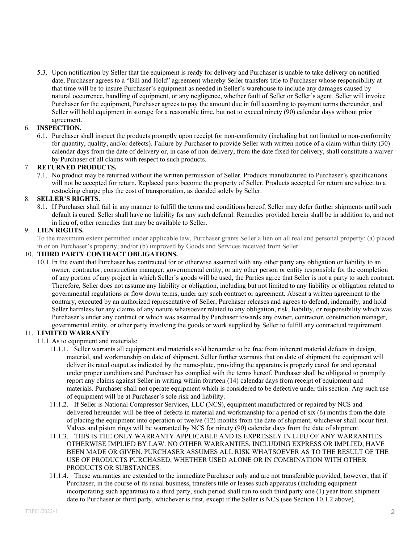5.3. Upon notification by Seller that the equipment is ready for delivery and Purchaser is unable to take delivery on notified date, Purchaser agrees to a "Bill and Hold" agreement whereby Seller transfers title to Purchaser whose responsibility at that time will be to insure Purchaser's equipment as needed in Seller's warehouse to include any damages caused by natural occurrence, handling of equipment, or any negligence, whether fault of Seller or Seller's agent. Seller will invoice Purchaser for the equipment, Purchaser agrees to pay the amount due in full according to payment terms thereunder, and Seller will hold equipment in storage for a reasonable time, but not to exceed ninety (90) calendar days without prior agreement.

## 6. **INSPECTION.**

6.1. Purchaser shall inspect the products promptly upon receipt for non-conformity (including but not limited to non-conformity for quantity, quality, and/or defects). Failure by Purchaser to provide Seller with written notice of a claim within thirty (30) calendar days from the date of delivery or, in case of non-delivery, from the date fixed for delivery, shall constitute a waiver by Purchaser of all claims with respect to such products.

# 7. **RETURNED PRODUCTS.**

7.1. No product may be returned without the written permission of Seller. Products manufactured to Purchaser's specifications will not be accepted for return. Replaced parts become the property of Seller. Products accepted for return are subject to a restocking charge plus the cost of transportation, as decided solely by Seller.

# 8. **SELLER'S RIGHTS.**

8.1. If Purchaser shall fail in any manner to fulfill the terms and conditions hereof, Seller may defer further shipments until such default is cured. Seller shall have no liability for any such deferral. Remedies provided herein shall be in addition to, and not in lieu of, other remedies that may be available to Seller.

# 9. **LIEN RIGHTS.**

To the maximum extent permitted under applicable law, Purchaser grants Seller a lien on all real and personal property: (a) placed in or on Purchaser's property; and/or (b) improved by Goods and Services received from Seller.

#### 10. **THIRD PARTY CONTRACT OBLIGATIONS.**

10.1.In the event that Purchaser has contracted for or otherwise assumed with any other party any obligation or liability to an owner, contractor, construction manager, governmental entity, or any other person or entity responsible for the completion of any portion of any project in which Seller's goods will be used, the Parties agree that Seller is not a party to such contract. Therefore, Seller does not assume any liability or obligation, including but not limited to any liability or obligation related to governmental regulations or flow down terms, under any such contract or agreement. Absent a written agreement to the contrary, executed by an authorized representative of Seller, Purchaser releases and agrees to defend, indemnify, and hold Seller harmless for any claims of any nature whatsoever related to any obligation, risk, liability, or responsibility which was Purchaser's under any contract or which was assumed by Purchaser towards any owner, contractor, construction manager, governmental entity, or other party involving the goods or work supplied by Seller to fulfill any contractual requirement.

#### 11. **LIMITED WARRANTY**.

- 11.1. As to equipment and materials:
	- 11.1.1. Seller warrants all equipment and materials sold hereunder to be free from inherent material defects in design, material, and workmanship on date of shipment. Seller further warrants that on date of shipment the equipment will deliver its rated output as indicated by the name-plate, providing the apparatus is properly cared for and operated under proper conditions and Purchaser has complied with the terms hereof. Purchaser shall be obligated to promptly report any claims against Seller in writing within fourteen (14) calendar days from receipt of equipment and materials. Purchaser shall not operate equipment which is considered to be defective under this section. Any such use of equipment will be at Purchaser's sole risk and liability.
	- 11.1.2. If Seller is National Compressor Services, LLC (NCS), equipment manufactured or repaired by NCS and delivered hereunder will be free of defects in material and workmanship for a period of six (6) months from the date of placing the equipment into operation or twelve (12) months from the date of shipment, whichever shall occur first. Valves and piston rings will be warranted by NCS for ninety (90) calendar days from the date of shipment.
	- 11.1.3. THIS IS THE ONLY WARRANTY APPLICABLE AND IS EXPRESSLY IN LIEU OF ANY WARRANTIES OTHERWISE IMPLIED BY LAW. NO OTHER WARRANTIES, INCLUDING EXPRESS OR IMPLIED, HAVE BEEN MADE OR GIVEN. PURCHASER ASSUMES ALL RISK WHATSOEVER AS TO THE RESULT OF THE USE OF PRODUCTS PURCHASED, WHETHER USED ALONE OR IN COMBINATION WITH OTHER PRODUCTS OR SUBSTANCES.
	- 11.1.4. These warranties are extended to the immediate Purchaser only and are not transferable provided, however, that if Purchaser, in the course of its usual business, transfers title or leases such apparatus (including equipment incorporating such apparatus) to a third party, such period shall run to such third party one (1) year from shipment date to Purchaser or third party, whichever is first, except if the Seller is NCS (see Section 10.1.2 above).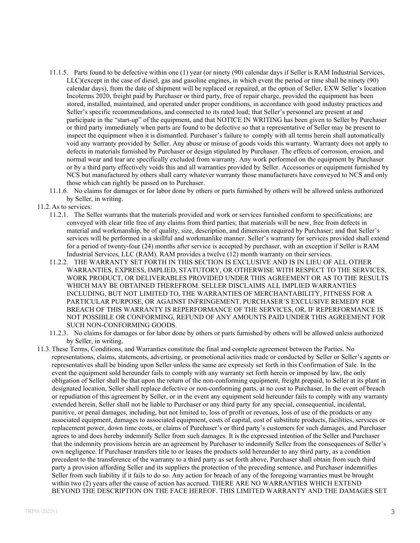- 11.1.5. Parts found to be defective within one (1) year (or ninety (90) calendar days if Seller is RAM Industrial Services, LLC)(except in the case of diesel, gas and gasoline engines, in which event the period or time shall be ninety (90) calendar days), from the date of shipment will be replaced or repaired, at the option of Seller, EXW Seller's location Incoterms 2020, freight paid by Purchaser or third party, free of repair charge, provided the equipment has been stored, installed, maintained, and operated under proper conditions, in accordance with good industry practices and Seller's specific recommendations, and connected to its rated load; that Seller's personnel are present at and participate in the "start-up" of the equipment, and that NOTICE IN WRITING has been given to Seller by Purchaser or third party immediately when parts are found to be defective so that a representative of Seller may be present to inspect the equipment when it is dismantled. Purchaser's failure to comply with all terms herein shall automatically void any warranty provided by Seller. Any abuse or misuse of goods voids this warranty. Warranty does not apply to defects in materials furnished by Purchaser or design stipulated by Purchaser. The effects of corrosion, erosion, and normal wear and tear are specifically excluded from warranty. Any work performed on the equipment by Purchaser or by a third party effectively voids this and all warranties provided by Seller. Accessories or equipment furnished by NCS but manufactured by others shall carry whatever warranty those manufacturers have conveyed to NCS and only those which can rightly be passed on to Purchaser.
- 11.1.6. No claims for damages or for labor done by others or parts furnished by others will be allowed unless authorized by Seller, in writing.
- 11.2. As to services:
	- 11.2.1. The Seller warrants that the materials provided and work or services furnished conform to specifications; are conveyed with clear title free of any claims from third parties; that materials will be new, free from defects in material and workmanship, be of quality, size, description, and dimension required by Purchaser; and that Seller's services will be performed in a skillful and workmanlike manner. Seller's warranty for services provided shall extend for a period of twenty-four (24) months after service is accepted by purchaser, with an exception if Seller is RAM Industrial Services, LLC (RAM). RAM provides a twelve (12) month warranty on their services.
	- 11.2.2. THE WARRANTY SET FORTH IN THIS SECTION IS EXCLUSIVE AND IS IN LIEU OF ALL OTHER WARRANTIES, EXPRESS, IMPLIED, STATUTORY, OR OTHERWISE WITH RESPECT TO THE SERVICES, WORK PRODUCT, OR DELIVERABLES PROVIDED UNDER THIS AGREEMENT OR AS TO THE RESULTS WHICH MAY BE OBTAINED THEREFROM. SELLER DISCLAIMS ALL IMPLIED WARRANTIES INCLUDING, BUT NOT LIMITED TO, THE WARRANTIES OF MERCHANTABILITY, FITNESS FOR A PARTICULAR PURPOSE, OR AGAINST INFRINGEMENT. PURCHASER'S EXCLUSIVE REMEDY FOR BREACH OF THIS WARRANTY IS REPERFORMANCE OF THE SERVICES, OR, IF REPERFORMANCE IS NOT POSSIBLE OR CONFORMING, REFUND OF ANY AMOUNTS PAID UNDER THIS AGREEMENT FOR SUCH NON-CONFORMING GOODS.
	- 11.2.3. No claims for damages or for labor done by others or parts furnished by others will be allowed unless authorized by Seller, in writing.
- 11.3.These Terms, Conditions, and Warranties constitute the final and complete agreement between the Parties. No representations, claims, statements, advertising, or promotional activities made or conducted by Seller or Seller's agents or representatives shall be binding upon Seller unless the same are expressly set forth in this Confirmation of Sale. In the event the equipment sold hereunder fails to comply with any warranty set forth herein or imposed by law, the only obligation of Seller shall be that upon the return of the non-conforming equipment, freight prepaid, to Seller at its plant in designated location, Seller shall replace defective or non-conforming parts, at no cost to Purchaser. In the event of breach or repudiation of this agreement by Seller, or in the event any equipment sold hereunder fails to comply with any warranty extended herein, Seller shall not be liable to Purchaser or any third party for any special, consequential, incidental, punitive, or penal damages, including, but not limited to, loss of profit or revenues, loss of use of the products or any associated equipment, damages to associated equipment, costs of capital, cost of substitute products, facilities, services or replacement power, down time costs, or claims of Purchaser's or third party's customers for such damages, and Purchaser agrees to and does hereby indemnify Seller from such damages. It is the expressed intention of the Seller and Purchaser that the indemnity provisions herein are an agreement by Purchaser to indemnify Seller from the consequences of Seller's own negligence. If Purchaser transfers title to or leases the products sold hereunder to any third party, as a condition precedent to the transference of the warranty to a third party as set forth above, Purchaser shall obtain from such third party a provision affording Seller and its suppliers the protection of the preceding sentence, and Purchaser indemnifies Seller from such liability if it fails to do so. Any action for breach of any of the foregoing warranties must be brought within two (2) years after the cause of action has accrued. THERE ARE NO WARRANTIES WHICH EXTEND BEYOND THE DESCRIPTION ON THE FACE HEREOF. THIS LIMITED WARRANTY AND THE DAMAGES SET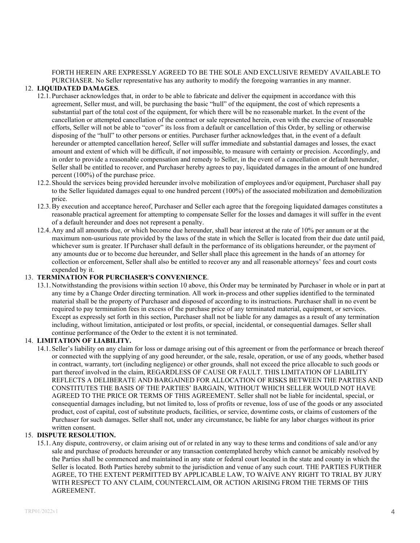FORTH HEREIN ARE EXPRESSLY AGREED TO BE THE SOLE AND EXCLUSIVE REMEDY AVAILABLE TO PURCHASER. No Seller representative has any authority to modify the foregoing warranties in any manner.

# 12. **LIQUIDATED DAMAGES**.

- 12.1. Purchaser acknowledges that, in order to be able to fabricate and deliver the equipment in accordance with this agreement, Seller must, and will, be purchasing the basic "hull" of the equipment, the cost of which represents a substantial part of the total cost of the equipment, for which there will be no reasonable market. In the event of the cancellation or attempted cancellation of the contract or sale represented herein, even with the exercise of reasonable efforts, Seller will not be able to "cover" its loss from a default or cancellation of this Order, by selling or otherwise disposing of the "hull" to other persons or entities. Purchaser further acknowledges that, in the event of a default hereunder or attempted cancellation hereof, Seller will suffer immediate and substantial damages and losses, the exact amount and extent of which will be difficult, if not impossible, to measure with certainty or precision. Accordingly, and in order to provide a reasonable compensation and remedy to Seller, in the event of a cancellation or default hereunder, Seller shall be entitled to recover, and Purchaser hereby agrees to pay, liquidated damages in the amount of one hundred percent (100%) of the purchase price.
- 12.2. Should the services being provided hereunder involve mobilization of employees and/or equipment, Purchaser shall pay to the Seller liquidated damages equal to one hundred percent (100%) of the associated mobilization and demobilization price.
- 12.3.By execution and acceptance hereof, Purchaser and Seller each agree that the foregoing liquidated damages constitutes a reasonable practical agreement for attempting to compensate Seller for the losses and damages it will suffer in the event of a default hereunder and does not represent a penalty.
- 12.4. Any and all amounts due, or which become due hereunder, shall bear interest at the rate of 10% per annum or at the maximum non-usurious rate provided by the laws of the state in which the Seller is located from their due date until paid, whichever sum is greater. If Purchaser shall default in the performance of its obligations hereunder, or the payment of any amounts due or to become due hereunder, and Seller shall place this agreement in the hands of an attorney for collection or enforcement, Seller shall also be entitled to recover any and all reasonable attorneys' fees and court costs expended by it.

# 13. **TERMINATION FOR PURCHASER'S CONVENIENCE**.

13.1. Notwithstanding the provisions within section 10 above, this Order may be terminated by Purchaser in whole or in part at any time by a Change Order directing termination. All work in-process and other supplies identified to the terminated material shall be the property of Purchaser and disposed of according to its instructions. Purchaser shall in no event be required to pay termination fees in excess of the purchase price of any terminated material, equipment, or services. Except as expressly set forth in this section, Purchaser shall not be liable for any damages as a result of any termination including, without limitation, anticipated or lost profits, or special, incidental, or consequential damages. Seller shall continue performance of the Order to the extent it is not terminated.

#### 14. **LIMITATION OF LIABILITY.**

14.1. Seller's liability on any claim for loss or damage arising out of this agreement or from the performance or breach thereof or connected with the supplying of any good hereunder, or the sale, resale, operation, or use of any goods, whether based in contract, warranty, tort (including negligence) or other grounds, shall not exceed the price allocable to such goods or part thereof involved in the claim, REGARDLESS OF CAUSE OR FAULT. THIS LIMITATION OF LIABILITY REFLECTS A DELIBERATE AND BARGAINED FOR ALLOCATION OF RISKS BETWEEN THE PARTIES AND CONSTITUTES THE BASIS OF THE PARTIES' BARGAIN, WITHOUT WHICH SELLER WOULD NOT HAVE AGREED TO THE PRICE OR TERMS OF THIS AGREEMENT. Seller shall not be liable for incidental, special, or consequential damages including, but not limited to, loss of profits or revenue, loss of use of the goods or any associated product, cost of capital, cost of substitute products, facilities, or service, downtime costs, or claims of customers of the Purchaser for such damages. Seller shall not, under any circumstance, be liable for any labor charges without its prior written consent.

#### 15. **DISPUTE RESOLUTION.**

15.1. Any dispute, controversy, or claim arising out of or related in any way to these terms and conditions of sale and/or any sale and purchase of products hereunder or any transaction contemplated hereby which cannot be amicably resolved by the Parties shall be commenced and maintained in any state or federal court located in the state and county in which the Seller is located. Both Parties hereby submit to the jurisdiction and venue of any such court. THE PARTIES FURTHER AGREE, TO THE EXTENT PERMITTED BY APPLICABLE LAW, TO WAIVE ANY RIGHT TO TRIAL BY JURY WITH RESPECT TO ANY CLAIM, COUNTERCLAIM, OR ACTION ARISING FROM THE TERMS OF THIS AGREEMENT.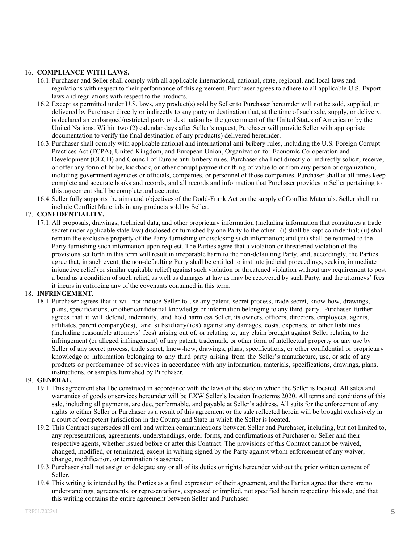#### 16. **COMPLIANCE WITH LAWS.**

- 16.1. Purchaser and Seller shall comply with all applicable international, national, state, regional, and local laws and regulations with respect to their performance of this agreement. Purchaser agrees to adhere to all applicable U.S. Export laws and regulations with respect to the products.
- 16.2.Except as permitted under U.S. laws, any product(s) sold by Seller to Purchaser hereunder will not be sold, supplied, or delivered by Purchaser directly or indirectly to any party or destination that, at the time of such sale, supply, or delivery, is declared an embargoed/restricted party or destination by the government of the United States of America or by the United Nations. Within two (2) calendar days after Seller's request, Purchaser will provide Seller with appropriate documentation to verify the final destination of any product(s) delivered hereunder.
- 16.3. Purchaser shall comply with applicable national and international anti-bribery rules, including the U.S. Foreign Corrupt Practices Act (FCPA), United Kingdom, and European Union, Organization for Economic Co-operation and Development (OECD) and Council of Europe anti-bribery rules. Purchaser shall not directly or indirectly solicit, receive, or offer any form of bribe, kickback, or other corrupt payment or thing of value to or from any person or organization, including government agencies or officials, companies, or personnel of those companies. Purchaser shall at all times keep complete and accurate books and records, and all records and information that Purchaser provides to Seller pertaining to this agreement shall be complete and accurate.
- 16.4. Seller fully supports the aims and objectives of the Dodd-Frank Act on the supply of Conflict Materials. Seller shall not include Conflict Materials in any products sold by Seller.

#### 17. **CONFIDENTIALITY.**

17.1. All proposals, drawings, technical data, and other proprietary information (including information that constitutes a trade secret under applicable state law) disclosed or furnished by one Party to the other: (i) shall be kept confidential; (ii) shall remain the exclusive property of the Party furnishing or disclosing such information; and (iii) shall be returned to the Party furnishing such information upon request. The Parties agree that a violation or threatened violation of the provisions set forth in this term will result in irreparable harm to the non-defaulting Party, and, accordingly, the Parties agree that, in such event, the non-defaulting Party shall be entitled to institute judicial proceedings, seeking immediate injunctive relief (or similar equitable relief) against such violation or threatened violation without any requirement to post a bond as a condition of such relief, as well as damages at law as may be recovered by such Party, and the attorneys' fees it incurs in enforcing any of the covenants contained in this term.

# 18. **INFRINGEMENT.**

18.1. Purchaser agrees that it will not induce Seller to use any patent, secret process, trade secret, know-how, drawings, plans, specifications, or other confidential knowledge or information belonging to any third party. Purchaser further agrees that it will defend, indemnify, and hold harmless Seller, its owners, officers, directors, employees, agents, affiliates, parent company(ies), and subsidiary(ies) against any damages, costs, expenses, or other liabilities (including reasonable attorneys' fees) arising out of, or relating to, any claim brought against Seller relating to the infringement (or alleged infringement) of any patent, trademark, or other form of intellectual property or any use by Seller of any secret process, trade secret, know-how, drawings, plans, specifications, or other confidential or proprietary knowledge or information belonging to any third party arising from the Seller's manufacture, use, or sale of any products or performance of services in accordance with any information, materials, specifications, drawings, plans, instructions, or samples furnished by Purchaser.

#### 19. **GENERAL**.

- 19.1.This agreement shall be construed in accordance with the laws of the state in which the Seller is located. All sales and warranties of goods or services hereunder will be EXW Seller's location Incoterms 2020. All terms and conditions of this sale, including all payments, are due, performable, and payable at Seller's address. All suits for the enforcement of any rights to either Seller or Purchaser as a result of this agreement or the sale reflected herein will be brought exclusively in a court of competent jurisdiction in the County and State in which the Seller is located.
- 19.2.This Contract supersedes all oral and written communications between Seller and Purchaser, including, but not limited to, any representations, agreements, understandings, order forms, and confirmations of Purchaser or Seller and their respective agents, whether issued before or after this Contract. The provisions of this Contract cannot be waived, changed, modified, or terminated, except in writing signed by the Party against whom enforcement of any waiver, change, modification, or termination is asserted.
- 19.3. Purchaser shall not assign or delegate any or all of its duties or rights hereunder without the prior written consent of Seller.
- 19.4.This writing is intended by the Parties as a final expression of their agreement, and the Parties agree that there are no understandings, agreements, or representations, expressed or implied, not specified herein respecting this sale, and that this writing contains the entire agreement between Seller and Purchaser.